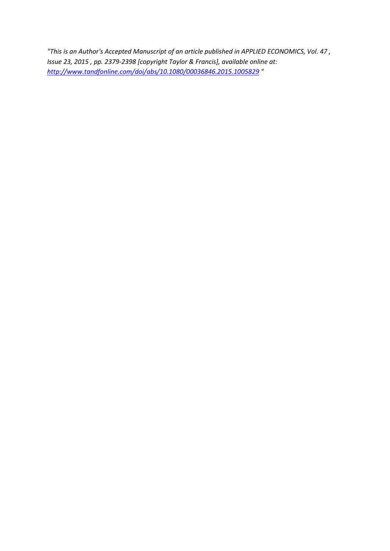*"This is an Author's Accepted Manuscript of an article published in APPLIED ECONOMICS, Vol. 47 , Issue 23, 2015 , pp. 2379-2398 [copyright Taylor & Francis], available online at: <http://www.tandfonline.com/doi/abs/10.1080/00036846.2015.1005829> "*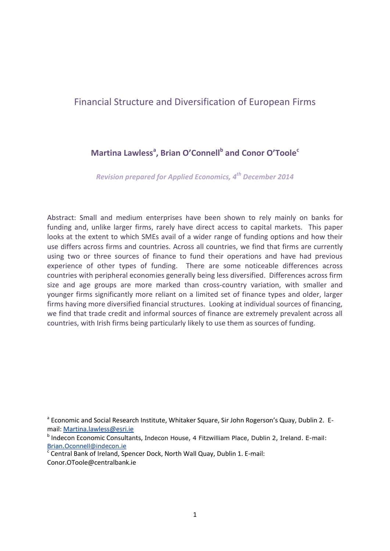## Financial Structure and Diversification of European Firms

# **Martina Lawless<sup>a</sup> , Brian O'Connell<sup>b</sup> and Conor O'Toole<sup>c</sup>**

*Revision prepared for Applied Economics, 4th December 2014*

Abstract: Small and medium enterprises have been shown to rely mainly on banks for funding and, unlike larger firms, rarely have direct access to capital markets. This paper looks at the extent to which SMEs avail of a wider range of funding options and how their use differs across firms and countries. Across all countries, we find that firms are currently using two or three sources of finance to fund their operations and have had previous experience of other types of funding. There are some noticeable differences across countries with peripheral economies generally being less diversified. Differences across firm size and age groups are more marked than cross-country variation, with smaller and younger firms significantly more reliant on a limited set of finance types and older, larger firms having more diversified financial structures. Looking at individual sources of financing, we find that trade credit and informal sources of finance are extremely prevalent across all countries, with Irish firms being particularly likely to use them as sources of funding.

<sup>a</sup> Economic and Social Research Institute, Whitaker Square, Sir John Rogerson's Quay, Dublin 2. Email[: Martina.lawless@esri.ie](mailto:Martina.lawless@esri.ie)

<sup>&</sup>lt;sup>b</sup> Indecon Economic Consultants, Indecon House, 4 Fitzwilliam Place, Dublin 2, Ireland. E-mail: [Brian.Oconnell@indecon.ie](mailto:Brian.Oconnell@indecon.ie)

<sup>&</sup>lt;sup>c</sup> Central Bank of Ireland, Spencer Dock, North Wall Quay, Dublin 1. E-mail: Conor.OToole@centralbank.ie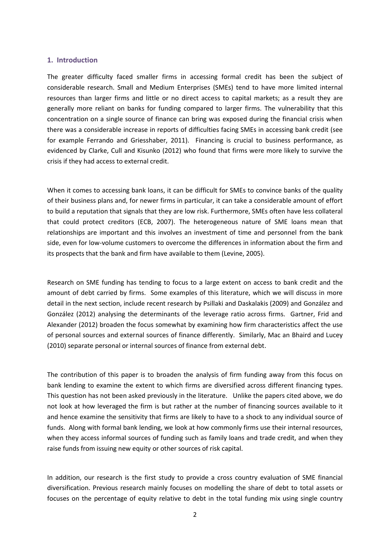#### **1. Introduction**

The greater difficulty faced smaller firms in accessing formal credit has been the subject of considerable research. Small and Medium Enterprises (SMEs) tend to have more limited internal resources than larger firms and little or no direct access to capital markets; as a result they are generally more reliant on banks for funding compared to larger firms. The vulnerability that this concentration on a single source of finance can bring was exposed during the financial crisis when there was a considerable increase in reports of difficulties facing SMEs in accessing bank credit (see for example Ferrando and Griesshaber, 2011). Financing is crucial to business performance, as evidenced by Clarke, Cull and Kisunko (2012) who found that firms were more likely to survive the crisis if they had access to external credit.

When it comes to accessing bank loans, it can be difficult for SMEs to convince banks of the quality of their business plans and, for newer firms in particular, it can take a considerable amount of effort to build a reputation that signals that they are low risk. Furthermore, SMEs often have less collateral that could protect creditors (ECB, 2007). The heterogeneous nature of SME loans mean that relationships are important and this involves an investment of time and personnel from the bank side, even for low-volume customers to overcome the differences in information about the firm and its prospects that the bank and firm have available to them (Levine, 2005).

Research on SME funding has tending to focus to a large extent on access to bank credit and the amount of debt carried by firms. Some examples of this literature, which we will discuss in more detail in the next section, include recent research by Psillaki and Daskalakis (2009) and González and González (2012) analysing the determinants of the leverage ratio across firms. Gartner, Frid and Alexander (2012) broaden the focus somewhat by examining how firm characteristics affect the use of personal sources and external sources of finance differently. Similarly, Mac an Bhaird and Lucey (2010) separate personal or internal sources of finance from external debt.

The contribution of this paper is to broaden the analysis of firm funding away from this focus on bank lending to examine the extent to which firms are diversified across different financing types. This question has not been asked previously in the literature. Unlike the papers cited above, we do not look at how leveraged the firm is but rather at the number of financing sources available to it and hence examine the sensitivity that firms are likely to have to a shock to any individual source of funds. Along with formal bank lending, we look at how commonly firms use their internal resources, when they access informal sources of funding such as family loans and trade credit, and when they raise funds from issuing new equity or other sources of risk capital.

In addition, our research is the first study to provide a cross country evaluation of SME financial diversification. Previous research mainly focuses on modelling the share of debt to total assets or focuses on the percentage of equity relative to debt in the total funding mix using single country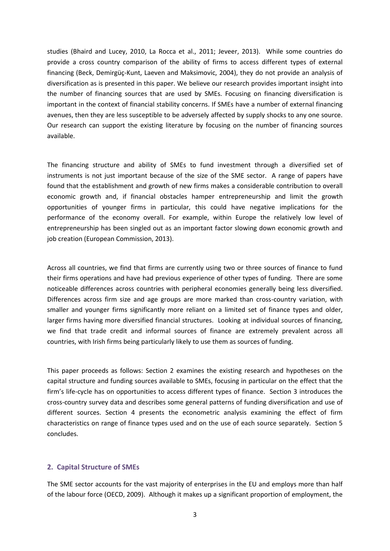studies (Bhaird and Lucey, 2010, La Rocca et al., 2011; Jeveer, 2013). While some countries do provide a cross country comparison of the ability of firms to access different types of external financing (Beck, Demirgüç-Kunt, Laeven and Maksimovic, 2004), they do not provide an analysis of diversification as is presented in this paper. We believe our research provides important insight into the number of financing sources that are used by SMEs. Focusing on financing diversification is important in the context of financial stability concerns. If SMEs have a number of external financing avenues, then they are less susceptible to be adversely affected by supply shocks to any one source. Our research can support the existing literature by focusing on the number of financing sources available.

The financing structure and ability of SMEs to fund investment through a diversified set of instruments is not just important because of the size of the SME sector. A range of papers have found that the establishment and growth of new firms makes a considerable contribution to overall economic growth and, if financial obstacles hamper entrepreneurship and limit the growth opportunities of younger firms in particular, this could have negative implications for the performance of the economy overall. For example, within Europe the relatively low level of entrepreneurship has been singled out as an important factor slowing down economic growth and job creation (European Commission, 2013).

Across all countries, we find that firms are currently using two or three sources of finance to fund their firms operations and have had previous experience of other types of funding. There are some noticeable differences across countries with peripheral economies generally being less diversified. Differences across firm size and age groups are more marked than cross-country variation, with smaller and younger firms significantly more reliant on a limited set of finance types and older, larger firms having more diversified financial structures. Looking at individual sources of financing, we find that trade credit and informal sources of finance are extremely prevalent across all countries, with Irish firms being particularly likely to use them as sources of funding.

This paper proceeds as follows: Section 2 examines the existing research and hypotheses on the capital structure and funding sources available to SMEs, focusing in particular on the effect that the firm's life-cycle has on opportunities to access different types of finance. Section 3 introduces the cross-country survey data and describes some general patterns of funding diversification and use of different sources. Section 4 presents the econometric analysis examining the effect of firm characteristics on range of finance types used and on the use of each source separately. Section 5 concludes.

## **2. Capital Structure of SMEs**

The SME sector accounts for the vast majority of enterprises in the EU and employs more than half of the labour force (OECD, 2009). Although it makes up a significant proportion of employment, the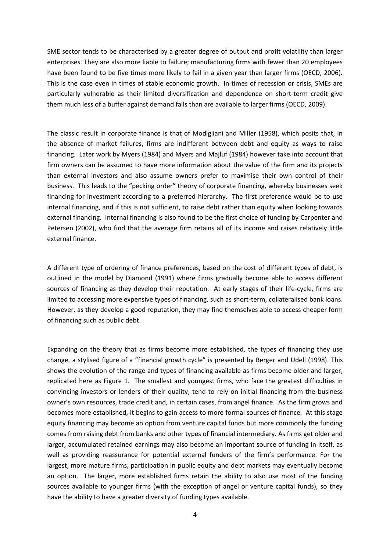SME sector tends to be characterised by a greater degree of output and profit volatility than larger enterprises. They are also more liable to failure; manufacturing firms with fewer than 20 employees have been found to be five times more likely to fail in a given year than larger firms (OECD, 2006). This is the case even in times of stable economic growth. In times of recession or crisis, SMEs are particularly vulnerable as their limited diversification and dependence on short-term credit give them much less of a buffer against demand falls than are available to larger firms (OECD, 2009).

The classic result in corporate finance is that of Modigliani and Miller (1958), which posits that, in the absence of market failures, firms are indifferent between debt and equity as ways to raise financing. Later work by Myers (1984) and Myers and Majluf (1984) however take into account that firm owners can be assumed to have more information about the value of the firm and its projects than external investors and also assume owners prefer to maximise their own control of their business. This leads to the "pecking order" theory of corporate financing, whereby businesses seek financing for investment according to a preferred hierarchy. The first preference would be to use internal financing, and if this is not sufficient, to raise debt rather than equity when looking towards external financing. Internal financing is also found to be the first choice of funding by Carpenter and Petersen (2002), who find that the average firm retains all of its income and raises relatively little external finance.

A different type of ordering of finance preferences, based on the cost of different types of debt, is outlined in the model by Diamond (1991) where firms gradually become able to access different sources of financing as they develop their reputation. At early stages of their life-cycle, firms are limited to accessing more expensive types of financing, such as short-term, collateralised bank loans. However, as they develop a good reputation, they may find themselves able to access cheaper form of financing such as public debt.

Expanding on the theory that as firms become more established, the types of financing they use change, a stylised figure of a "financial growth cycle" is presented by Berger and Udell (1998). This shows the evolution of the range and types of financing available as firms become older and larger, replicated here as Figure 1. The smallest and youngest firms, who face the greatest difficulties in convincing investors or lenders of their quality, tend to rely on initial financing from the business owner's own resources, trade credit and, in certain cases, from angel finance. As the firm grows and becomes more established, it begins to gain access to more formal sources of finance. At this stage equity financing may become an option from venture capital funds but more commonly the funding comes from raising debt from banks and other types of financial intermediary. As firms get older and larger, accumulated retained earnings may also become an important source of funding in itself, as well as providing reassurance for potential external funders of the firm's performance. For the largest, more mature firms, participation in public equity and debt markets may eventually become an option. The larger, more established firms retain the ability to also use most of the funding sources available to younger firms (with the exception of angel or venture capital funds), so they have the ability to have a greater diversity of funding types available.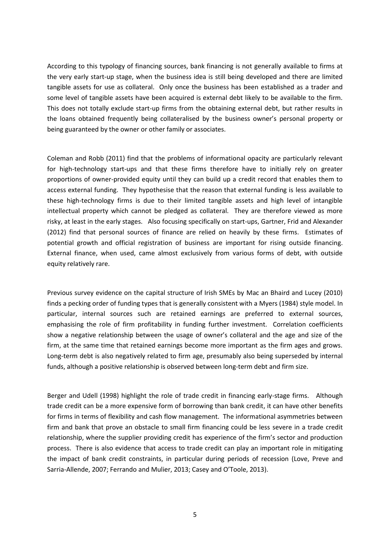According to this typology of financing sources, bank financing is not generally available to firms at the very early start-up stage, when the business idea is still being developed and there are limited tangible assets for use as collateral. Only once the business has been established as a trader and some level of tangible assets have been acquired is external debt likely to be available to the firm. This does not totally exclude start-up firms from the obtaining external debt, but rather results in the loans obtained frequently being collateralised by the business owner's personal property or being guaranteed by the owner or other family or associates.

Coleman and Robb (2011) find that the problems of informational opacity are particularly relevant for high-technology start-ups and that these firms therefore have to initially rely on greater proportions of owner-provided equity until they can build up a credit record that enables them to access external funding. They hypothesise that the reason that external funding is less available to these high-technology firms is due to their limited tangible assets and high level of intangible intellectual property which cannot be pledged as collateral. They are therefore viewed as more risky, at least in the early stages. Also focusing specifically on start-ups, Gartner, Frid and Alexander (2012) find that personal sources of finance are relied on heavily by these firms. Estimates of potential growth and official registration of business are important for rising outside financing. External finance, when used, came almost exclusively from various forms of debt, with outside equity relatively rare.

Previous survey evidence on the capital structure of Irish SMEs by Mac an Bhaird and Lucey (2010) finds a pecking order of funding types that is generally consistent with a Myers (1984) style model. In particular, internal sources such are retained earnings are preferred to external sources, emphasising the role of firm profitability in funding further investment. Correlation coefficients show a negative relationship between the usage of owner's collateral and the age and size of the firm, at the same time that retained earnings become more important as the firm ages and grows. Long-term debt is also negatively related to firm age, presumably also being superseded by internal funds, although a positive relationship is observed between long-term debt and firm size.

Berger and Udell (1998) highlight the role of trade credit in financing early-stage firms. Although trade credit can be a more expensive form of borrowing than bank credit, it can have other benefits for firms in terms of flexibility and cash flow management. The informational asymmetries between firm and bank that prove an obstacle to small firm financing could be less severe in a trade credit relationship, where the supplier providing credit has experience of the firm's sector and production process. There is also evidence that access to trade credit can play an important role in mitigating the impact of bank credit constraints, in particular during periods of recession (Love, Preve and Sarria-Allende, 2007; Ferrando and Mulier, 2013; Casey and O'Toole, 2013).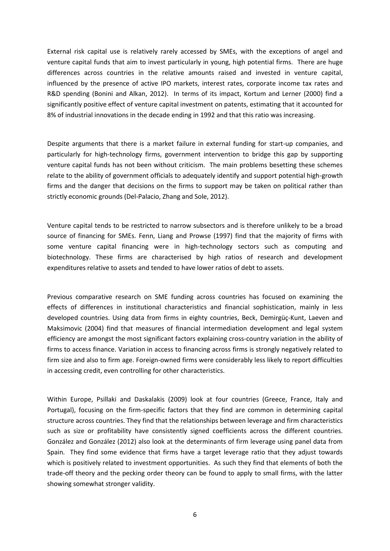External risk capital use is relatively rarely accessed by SMEs, with the exceptions of angel and venture capital funds that aim to invest particularly in young, high potential firms. There are huge differences across countries in the relative amounts raised and invested in venture capital, influenced by the presence of active IPO markets, interest rates, corporate income tax rates and R&D spending (Bonini and Alkan, 2012). In terms of its impact, Kortum and Lerner (2000) find a significantly positive effect of venture capital investment on patents, estimating that it accounted for 8% of industrial innovations in the decade ending in 1992 and that this ratio was increasing.

Despite arguments that there is a market failure in external funding for start-up companies, and particularly for high-technology firms, government intervention to bridge this gap by supporting venture capital funds has not been without criticism. The main problems besetting these schemes relate to the ability of government officials to adequately identify and support potential high-growth firms and the danger that decisions on the firms to support may be taken on political rather than strictly economic grounds (Del-Palacio, Zhang and Sole, 2012).

Venture capital tends to be restricted to narrow subsectors and is therefore unlikely to be a broad source of financing for SMEs. Fenn, Liang and Prowse (1997) find that the majority of firms with some venture capital financing were in high-technology sectors such as computing and biotechnology. These firms are characterised by high ratios of research and development expenditures relative to assets and tended to have lower ratios of debt to assets.

Previous comparative research on SME funding across countries has focused on examining the effects of differences in institutional characteristics and financial sophistication, mainly in less developed countries. Using data from firms in eighty countries, Beck, Demirgüç-Kunt, Laeven and Maksimovic (2004) find that measures of financial intermediation development and legal system efficiency are amongst the most significant factors explaining cross-country variation in the ability of firms to access finance. Variation in access to financing across firms is strongly negatively related to firm size and also to firm age. Foreign-owned firms were considerably less likely to report difficulties in accessing credit, even controlling for other characteristics.

Within Europe, Psillaki and Daskalakis (2009) look at four countries (Greece, France, Italy and Portugal), focusing on the firm-specific factors that they find are common in determining capital structure across countries. They find that the relationships between leverage and firm characteristics such as size or profitability have consistently signed coefficients across the different countries. González and González (2012) also look at the determinants of firm leverage using panel data from Spain. They find some evidence that firms have a target leverage ratio that they adjust towards which is positively related to investment opportunities. As such they find that elements of both the trade-off theory and the pecking order theory can be found to apply to small firms, with the latter showing somewhat stronger validity.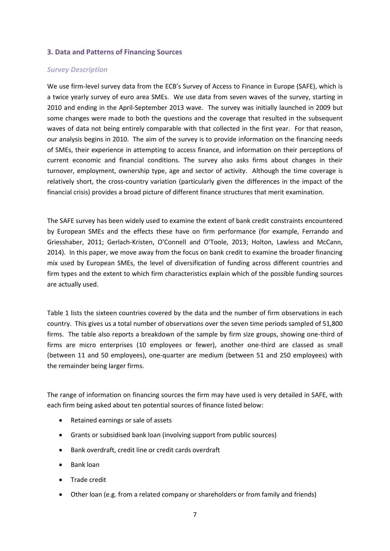## **3. Data and Patterns of Financing Sources**

## *Survey Description*

We use firm-level survey data from the ECB's Survey of Access to Finance in Europe (SAFE), which is a twice yearly survey of euro area SMEs. We use data from seven waves of the survey, starting in 2010 and ending in the April-September 2013 wave. The survey was initially launched in 2009 but some changes were made to both the questions and the coverage that resulted in the subsequent waves of data not being entirely comparable with that collected in the first year. For that reason, our analysis begins in 2010. The aim of the survey is to provide information on the financing needs of SMEs, their experience in attempting to access finance, and information on their perceptions of current economic and financial conditions. The survey also asks firms about changes in their turnover, employment, ownership type, age and sector of activity. Although the time coverage is relatively short, the cross-country variation (particularly given the differences in the impact of the financial crisis) provides a broad picture of different finance structures that merit examination.

The SAFE survey has been widely used to examine the extent of bank credit constraints encountered by European SMEs and the effects these have on firm performance (for example, Ferrando and Griesshaber, 2011; Gerlach-Kristen, O'Connell and O'Toole, 2013; Holton, Lawless and McCann, 2014). In this paper, we move away from the focus on bank credit to examine the broader financing mix used by European SMEs, the level of diversification of funding across different countries and firm types and the extent to which firm characteristics explain which of the possible funding sources are actually used.

Table 1 lists the sixteen countries covered by the data and the number of firm observations in each country. This gives us a total number of observations over the seven time periods sampled of 51,800 firms. The table also reports a breakdown of the sample by firm size groups, showing one-third of firms are micro enterprises (10 employees or fewer), another one-third are classed as small (between 11 and 50 employees), one-quarter are medium (between 51 and 250 employees) with the remainder being larger firms.

The range of information on financing sources the firm may have used is very detailed in SAFE, with each firm being asked about ten potential sources of finance listed below:

- Retained earnings or sale of assets
- Grants or subsidised bank loan (involving support from public sources)
- Bank overdraft, credit line or credit cards overdraft
- Bank loan
- Trade credit
- Other loan (e.g. from a related company or shareholders or from family and friends)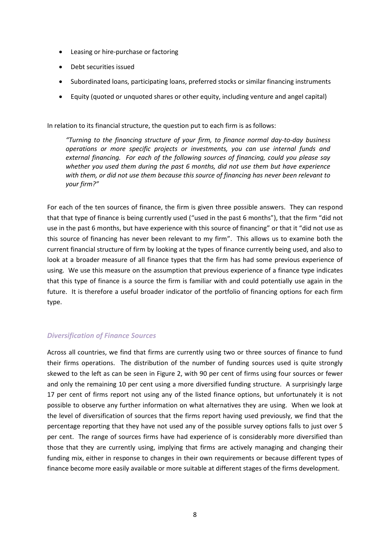- Leasing or hire-purchase or factoring
- Debt securities issued
- Subordinated loans, participating loans, preferred stocks or similar financing instruments
- Equity (quoted or unquoted shares or other equity, including venture and angel capital)

In relation to its financial structure, the question put to each firm is as follows:

*"Turning to the financing structure of your firm, to finance normal day-to-day business operations or more specific projects or investments, you can use internal funds and external financing. For each of the following sources of financing, could you please say whether you used them during the past 6 months, did not use them but have experience with them, or did not use them because this source of financing has never been relevant to your firm?"*

For each of the ten sources of finance, the firm is given three possible answers. They can respond that that type of finance is being currently used ("used in the past 6 months"), that the firm "did not use in the past 6 months, but have experience with this source of financing" or that it "did not use as this source of financing has never been relevant to my firm". This allows us to examine both the current financial structure of firm by looking at the types of finance currently being used, and also to look at a broader measure of all finance types that the firm has had some previous experience of using. We use this measure on the assumption that previous experience of a finance type indicates that this type of finance is a source the firm is familiar with and could potentially use again in the future. It is therefore a useful broader indicator of the portfolio of financing options for each firm type.

## *Diversification of Finance Sources*

Across all countries, we find that firms are currently using two or three sources of finance to fund their firms operations. The distribution of the number of funding sources used is quite strongly skewed to the left as can be seen in Figure 2, with 90 per cent of firms using four sources or fewer and only the remaining 10 per cent using a more diversified funding structure. A surprisingly large 17 per cent of firms report not using any of the listed finance options, but unfortunately it is not possible to observe any further information on what alternatives they are using. When we look at the level of diversification of sources that the firms report having used previously, we find that the percentage reporting that they have not used any of the possible survey options falls to just over 5 per cent. The range of sources firms have had experience of is considerably more diversified than those that they are currently using, implying that firms are actively managing and changing their funding mix, either in response to changes in their own requirements or because different types of finance become more easily available or more suitable at different stages of the firms development.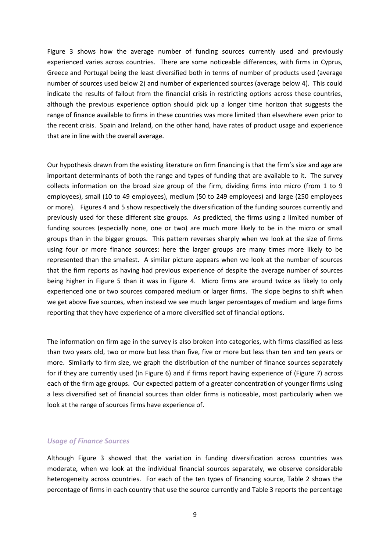Figure 3 shows how the average number of funding sources currently used and previously experienced varies across countries. There are some noticeable differences, with firms in Cyprus, Greece and Portugal being the least diversified both in terms of number of products used (average number of sources used below 2) and number of experienced sources (average below 4). This could indicate the results of fallout from the financial crisis in restricting options across these countries, although the previous experience option should pick up a longer time horizon that suggests the range of finance available to firms in these countries was more limited than elsewhere even prior to the recent crisis. Spain and Ireland, on the other hand, have rates of product usage and experience that are in line with the overall average.

Our hypothesis drawn from the existing literature on firm financing is that the firm's size and age are important determinants of both the range and types of funding that are available to it. The survey collects information on the broad size group of the firm, dividing firms into micro (from 1 to 9 employees), small (10 to 49 employees), medium (50 to 249 employees) and large (250 employees or more). Figures 4 and 5 show respectively the diversification of the funding sources currently and previously used for these different size groups. As predicted, the firms using a limited number of funding sources (especially none, one or two) are much more likely to be in the micro or small groups than in the bigger groups. This pattern reverses sharply when we look at the size of firms using four or more finance sources: here the larger groups are many times more likely to be represented than the smallest. A similar picture appears when we look at the number of sources that the firm reports as having had previous experience of despite the average number of sources being higher in Figure 5 than it was in Figure 4. Micro firms are around twice as likely to only experienced one or two sources compared medium or larger firms. The slope begins to shift when we get above five sources, when instead we see much larger percentages of medium and large firms reporting that they have experience of a more diversified set of financial options.

The information on firm age in the survey is also broken into categories, with firms classified as less than two years old, two or more but less than five, five or more but less than ten and ten years or more. Similarly to firm size, we graph the distribution of the number of finance sources separately for if they are currently used (in Figure 6) and if firms report having experience of (Figure 7) across each of the firm age groups. Our expected pattern of a greater concentration of younger firms using a less diversified set of financial sources than older firms is noticeable, most particularly when we look at the range of sources firms have experience of.

## *Usage of Finance Sources*

Although Figure 3 showed that the variation in funding diversification across countries was moderate, when we look at the individual financial sources separately, we observe considerable heterogeneity across countries. For each of the ten types of financing source, Table 2 shows the percentage of firms in each country that use the source currently and Table 3 reports the percentage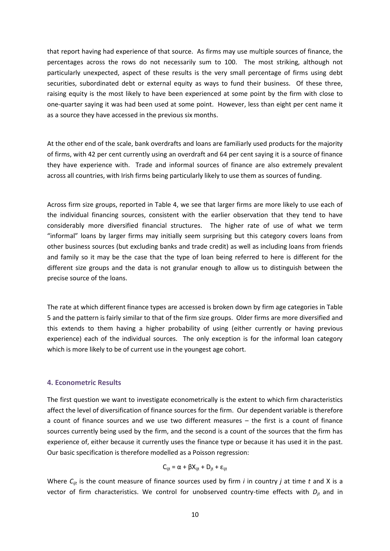that report having had experience of that source. As firms may use multiple sources of finance, the percentages across the rows do not necessarily sum to 100. The most striking, although not particularly unexpected, aspect of these results is the very small percentage of firms using debt securities, subordinated debt or external equity as ways to fund their business. Of these three, raising equity is the most likely to have been experienced at some point by the firm with close to one-quarter saying it was had been used at some point. However, less than eight per cent name it as a source they have accessed in the previous six months.

At the other end of the scale, bank overdrafts and loans are familiarly used products for the majority of firms, with 42 per cent currently using an overdraft and 64 per cent saying it is a source of finance they have experience with. Trade and informal sources of finance are also extremely prevalent across all countries, with Irish firms being particularly likely to use them as sources of funding.

Across firm size groups, reported in Table 4, we see that larger firms are more likely to use each of the individual financing sources, consistent with the earlier observation that they tend to have considerably more diversified financial structures. The higher rate of use of what we term "informal" loans by larger firms may initially seem surprising but this category covers loans from other business sources (but excluding banks and trade credit) as well as including loans from friends and family so it may be the case that the type of loan being referred to here is different for the different size groups and the data is not granular enough to allow us to distinguish between the precise source of the loans.

The rate at which different finance types are accessed is broken down by firm age categories in Table 5 and the pattern is fairly similar to that of the firm size groups. Older firms are more diversified and this extends to them having a higher probability of using (either currently or having previous experience) each of the individual sources. The only exception is for the informal loan category which is more likely to be of current use in the youngest age cohort.

#### **4. Econometric Results**

The first question we want to investigate econometrically is the extent to which firm characteristics affect the level of diversification of finance sources for the firm. Our dependent variable is therefore a count of finance sources and we use two different measures – the first is a count of finance sources currently being used by the firm, and the second is a count of the sources that the firm has experience of, either because it currently uses the finance type or because it has used it in the past. Our basic specification is therefore modelled as a Poisson regression:

$$
C_{ijt} = \alpha + \beta X_{ijt} + D_{jt} + \epsilon_{ijt}
$$

Where *Cijt* is the count measure of finance sources used by firm *i* in country *j* at time *t* and X is a vector of firm characteristics. We control for unobserved country-time effects with *Djt* and in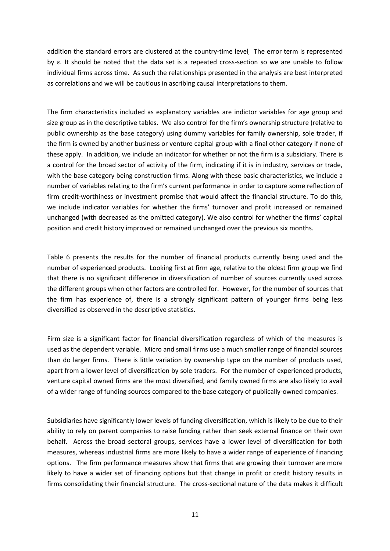addition the standard errors are clustered at the country-time level*.* The error term is represented by *ε.* It should be noted that the data set is a repeated cross-section so we are unable to follow individual firms across time. As such the relationships presented in the analysis are best interpreted as correlations and we will be cautious in ascribing causal interpretations to them.

The firm characteristics included as explanatory variables are indictor variables for age group and size group as in the descriptive tables. We also control for the firm's ownership structure (relative to public ownership as the base category) using dummy variables for family ownership, sole trader, if the firm is owned by another business or venture capital group with a final other category if none of these apply. In addition, we include an indicator for whether or not the firm is a subsidiary. There is a control for the broad sector of activity of the firm, indicating if it is in industry, services or trade, with the base category being construction firms. Along with these basic characteristics, we include a number of variables relating to the firm's current performance in order to capture some reflection of firm credit-worthiness or investment promise that would affect the financial structure. To do this, we include indicator variables for whether the firms' turnover and profit increased or remained unchanged (with decreased as the omitted category). We also control for whether the firms' capital position and credit history improved or remained unchanged over the previous six months.

Table 6 presents the results for the number of financial products currently being used and the number of experienced products. Looking first at firm age, relative to the oldest firm group we find that there is no significant difference in diversification of number of sources currently used across the different groups when other factors are controlled for. However, for the number of sources that the firm has experience of, there is a strongly significant pattern of younger firms being less diversified as observed in the descriptive statistics.

Firm size is a significant factor for financial diversification regardless of which of the measures is used as the dependent variable. Micro and small firms use a much smaller range of financial sources than do larger firms. There is little variation by ownership type on the number of products used, apart from a lower level of diversification by sole traders. For the number of experienced products, venture capital owned firms are the most diversified, and family owned firms are also likely to avail of a wider range of funding sources compared to the base category of publically-owned companies.

Subsidiaries have significantly lower levels of funding diversification, which is likely to be due to their ability to rely on parent companies to raise funding rather than seek external finance on their own behalf. Across the broad sectoral groups, services have a lower level of diversification for both measures, whereas industrial firms are more likely to have a wider range of experience of financing options. The firm performance measures show that firms that are growing their turnover are more likely to have a wider set of financing options but that change in profit or credit history results in firms consolidating their financial structure. The cross-sectional nature of the data makes it difficult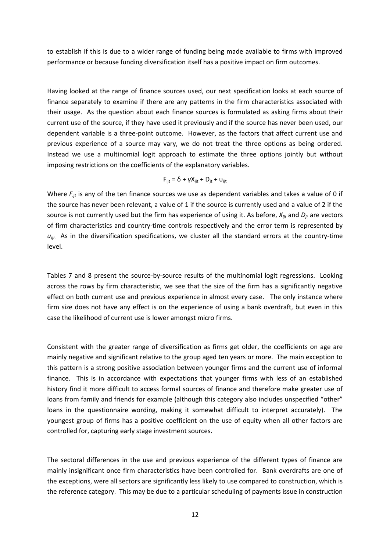to establish if this is due to a wider range of funding being made available to firms with improved performance or because funding diversification itself has a positive impact on firm outcomes.

Having looked at the range of finance sources used, our next specification looks at each source of finance separately to examine if there are any patterns in the firm characteristics associated with their usage. As the question about each finance sources is formulated as asking firms about their current use of the source, if they have used it previously and if the source has never been used, our dependent variable is a three-point outcome. However, as the factors that affect current use and previous experience of a source may vary, we do not treat the three options as being ordered. Instead we use a multinomial logit approach to estimate the three options jointly but without imposing restrictions on the coefficients of the explanatory variables.

$$
F_{ijt} = \delta + \gamma X_{ijt} + D_{jt} + U_{ijt}
$$

Where  $F_{ijt}$  is any of the ten finance sources we use as dependent variables and takes a value of 0 if the source has never been relevant, a value of 1 if the source is currently used and a value of 2 if the source is not currently used but the firm has experience of using it. As before,  $X_{i}$  and  $D_i$  are vectors of firm characteristics and country-time controls respectively and the error term is represented by *υijt.* As in the diversification specifications, we cluster all the standard errors at the country-time level.

Tables 7 and 8 present the source-by-source results of the multinomial logit regressions. Looking across the rows by firm characteristic, we see that the size of the firm has a significantly negative effect on both current use and previous experience in almost every case. The only instance where firm size does not have any effect is on the experience of using a bank overdraft, but even in this case the likelihood of current use is lower amongst micro firms.

Consistent with the greater range of diversification as firms get older, the coefficients on age are mainly negative and significant relative to the group aged ten years or more. The main exception to this pattern is a strong positive association between younger firms and the current use of informal finance. This is in accordance with expectations that younger firms with less of an established history find it more difficult to access formal sources of finance and therefore make greater use of loans from family and friends for example (although this category also includes unspecified "other" loans in the questionnaire wording, making it somewhat difficult to interpret accurately). The youngest group of firms has a positive coefficient on the use of equity when all other factors are controlled for, capturing early stage investment sources.

The sectoral differences in the use and previous experience of the different types of finance are mainly insignificant once firm characteristics have been controlled for. Bank overdrafts are one of the exceptions, were all sectors are significantly less likely to use compared to construction, which is the reference category. This may be due to a particular scheduling of payments issue in construction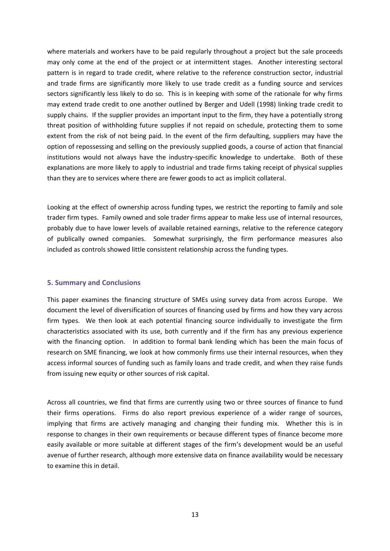where materials and workers have to be paid regularly throughout a project but the sale proceeds may only come at the end of the project or at intermittent stages. Another interesting sectoral pattern is in regard to trade credit, where relative to the reference construction sector, industrial and trade firms are significantly more likely to use trade credit as a funding source and services sectors significantly less likely to do so. This is in keeping with some of the rationale for why firms may extend trade credit to one another outlined by Berger and Udell (1998) linking trade credit to supply chains. If the supplier provides an important input to the firm, they have a potentially strong threat position of withholding future supplies if not repaid on schedule, protecting them to some extent from the risk of not being paid. In the event of the firm defaulting, suppliers may have the option of repossessing and selling on the previously supplied goods, a course of action that financial institutions would not always have the industry-specific knowledge to undertake. Both of these explanations are more likely to apply to industrial and trade firms taking receipt of physical supplies than they are to services where there are fewer goods to act as implicit collateral.

Looking at the effect of ownership across funding types, we restrict the reporting to family and sole trader firm types. Family owned and sole trader firms appear to make less use of internal resources, probably due to have lower levels of available retained earnings, relative to the reference category of publically owned companies. Somewhat surprisingly, the firm performance measures also included as controls showed little consistent relationship across the funding types.

## **5. Summary and Conclusions**

This paper examines the financing structure of SMEs using survey data from across Europe. We document the level of diversification of sources of financing used by firms and how they vary across firm types. We then look at each potential financing source individually to investigate the firm characteristics associated with its use, both currently and if the firm has any previous experience with the financing option. In addition to formal bank lending which has been the main focus of research on SME financing, we look at how commonly firms use their internal resources, when they access informal sources of funding such as family loans and trade credit, and when they raise funds from issuing new equity or other sources of risk capital.

Across all countries, we find that firms are currently using two or three sources of finance to fund their firms operations. Firms do also report previous experience of a wider range of sources, implying that firms are actively managing and changing their funding mix. Whether this is in response to changes in their own requirements or because different types of finance become more easily available or more suitable at different stages of the firm's development would be an useful avenue of further research, although more extensive data on finance availability would be necessary to examine this in detail.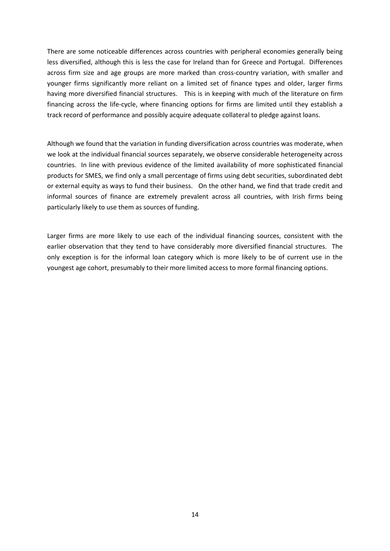There are some noticeable differences across countries with peripheral economies generally being less diversified, although this is less the case for Ireland than for Greece and Portugal. Differences across firm size and age groups are more marked than cross-country variation, with smaller and younger firms significantly more reliant on a limited set of finance types and older, larger firms having more diversified financial structures. This is in keeping with much of the literature on firm financing across the life-cycle, where financing options for firms are limited until they establish a track record of performance and possibly acquire adequate collateral to pledge against loans.

Although we found that the variation in funding diversification across countries was moderate, when we look at the individual financial sources separately, we observe considerable heterogeneity across countries. In line with previous evidence of the limited availability of more sophisticated financial products for SMES, we find only a small percentage of firms using debt securities, subordinated debt or external equity as ways to fund their business. On the other hand, we find that trade credit and informal sources of finance are extremely prevalent across all countries, with Irish firms being particularly likely to use them as sources of funding.

Larger firms are more likely to use each of the individual financing sources, consistent with the earlier observation that they tend to have considerably more diversified financial structures. The only exception is for the informal loan category which is more likely to be of current use in the youngest age cohort, presumably to their more limited access to more formal financing options.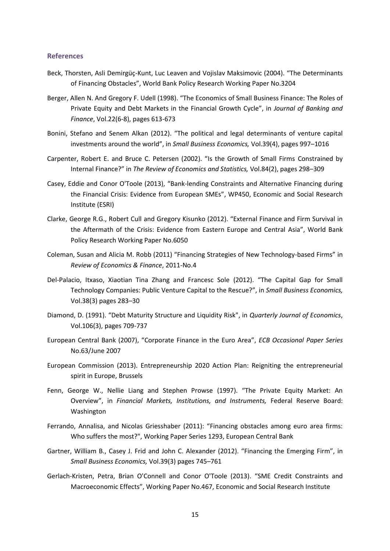#### **References**

- Beck, Thorsten, Asli Demirgüç-Kunt, Luc Leaven and Vojislav Maksimovic (2004). "The Determinants of Financing Obstacles", World Bank Policy Research Working Paper No.3204
- Berger, Allen N. And Gregory F. Udell (1998). "The Economics of Small Business Finance: The Roles of Private Equity and Debt Markets in the Financial Growth Cycle", in *Journal of Banking and Finance*, Vol.22(6-8), pages 613-673
- Bonini, Stefano and Senem Alkan (2012). "The political and legal determinants of venture capital investments around the world", in *Small Business Economics,* Vol.39(4), pages 997–1016
- Carpenter, Robert E. and Bruce C. Petersen (2002). "Is the Growth of Small Firms Constrained by Internal Finance?" in *The Review of Economics and Statistics,* Vol.84(2), pages 298–309
- Casey, Eddie and Conor O'Toole (2013), "Bank-lending Constraints and Alternative Financing during the Financial Crisis: Evidence from European SMEs", WP450, Economic and Social Research Institute (ESRI)
- Clarke, George R.G., Robert Cull and Gregory Kisunko (2012). "External Finance and Firm Survival in the Aftermath of the Crisis: Evidence from Eastern Europe and Central Asia", World Bank Policy Research Working Paper No.6050
- Coleman, Susan and Alicia M. Robb (2011) "Financing Strategies of New Technology-based Firms" in *Review of Economics & Finance*, 2011-No.4
- Del-Palacio, Itxaso, Xiaotian Tina Zhang and Francesc Sole (2012). "The Capital Gap for Small Technology Companies: Public Venture Capital to the Rescue?", in *Small Business Economics,* Vol.38(3) pages 283–30
- Diamond, D. (1991). "Debt Maturity Structure and Liquidity Risk", in *Quarterly Journal of Economics*, Vol.106(3), pages 709-737
- European Central Bank (2007), "Corporate Finance in the Euro Area", *ECB Occasional Paper Series* No.63/June 2007
- European Commission (2013). Entrepreneurship 2020 Action Plan: Reigniting the entrepreneurial spirit in Europe, Brussels
- Fenn, George W., Nellie Liang and Stephen Prowse (1997). "The Private Equity Market: An Overview", in *Financial Markets, Institutions, and Instruments,* Federal Reserve Board: Washington
- Ferrando, Annalisa, and Nicolas Griesshaber (2011): "Financing obstacles among euro area firms: Who suffers the most?", Working Paper Series 1293, European Central Bank
- Gartner, William B., Casey J. Frid and John C. Alexander (2012). "Financing the Emerging Firm", in *Small Business Economics,* Vol.39(3) pages 745–761
- Gerlach-Kristen, Petra, Brian O'Connell and Conor O'Toole (2013). "SME Credit Constraints and Macroeconomic Effects", Working Paper No.467, Economic and Social Research Institute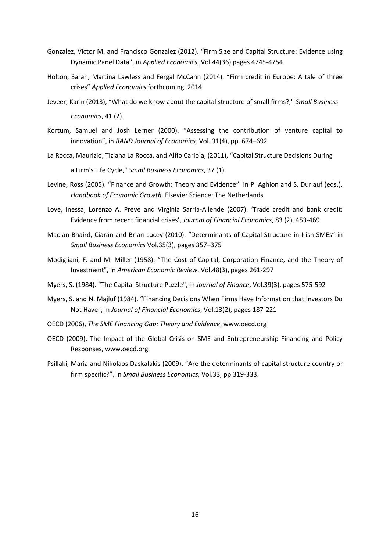- Gonzalez, Victor M. and Francisco Gonzalez (2012). "Firm Size and Capital Structure: Evidence using Dynamic Panel Data", in *Applied Economics*, Vol.44(36) pages 4745-4754.
- Holton, Sarah, Martina Lawless and Fergal McCann (2014). "Firm credit in Europe: A tale of three crises" *Applied Economics* forthcoming, 2014
- Jeveer, Karin (2013), "What do we know about the capital structure of small firms?," *Small Business Economics*, 41 (2).
- Kortum, Samuel and Josh Lerner (2000). "Assessing the contribution of venture capital to innovation", in *RAND Journal of Economics,* Vol. 31(4), pp. 674–692
- La Rocca, Maurizio, Tiziana La Rocca, and Alfio Cariola, (2011), "Capital Structure Decisions During a Firm's Life Cycle," *Small Business Economics*, 37 (1).
- Levine, Ross (2005). "Finance and Growth: Theory and Evidence" in P. Aghion and S. Durlauf (eds.), *Handbook of Economic Growth*. Elsevier Science: The Netherlands
- Love, Inessa, Lorenzo A. Preve and Virginia Sarria-Allende (2007). 'Trade credit and bank credit: Evidence from recent financial crises', *Journal of Financial Economics*, 83 (2), 453-469
- Mac an Bhaird, Ciarán and Brian Lucey (2010). "Determinants of Capital Structure in Irish SMEs" in *Small Business Economics* Vol.35(3), pages 357–375
- Modigliani, F. and M. Miller (1958). "The Cost of Capital, Corporation Finance, and the Theory of Investment", in *American Economic Review*, Vol.48(3), pages 261-297
- Myers, S. (1984). "The Capital Structure Puzzle", in *Journal of Finance*, Vol.39(3), pages 575-592
- Myers, S. and N. Majluf (1984). "Financing Decisions When Firms Have Information that Investors Do Not Have", in *Journal of Financial Economics*, Vol.13(2), pages 187-221
- OECD (2006), *The SME Financing Gap: Theory and Evidence*, [www.oecd.org](http://www.oecd.org/)
- OECD (2009), The Impact of the Global Crisis on SME and Entrepreneurship Financing and Policy Responses[, www.oecd.org](http://www.oecd.org/)
- Psillaki, Maria and Nikolaos Daskalakis (2009). "Are the determinants of capital structure country or firm specific?", in *Small Business Economics*, Vol.33, pp.319-333.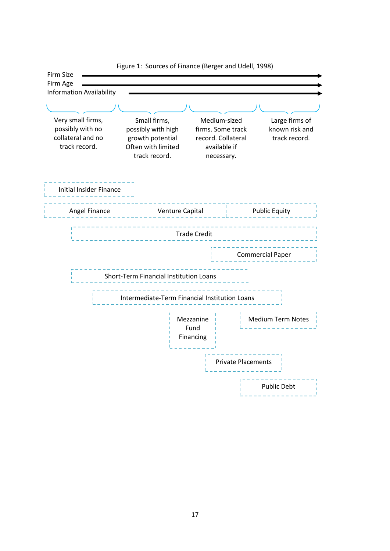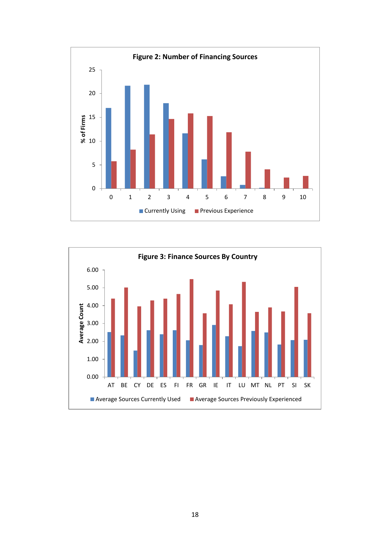

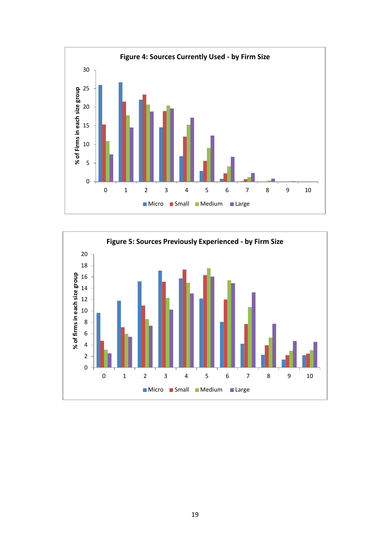

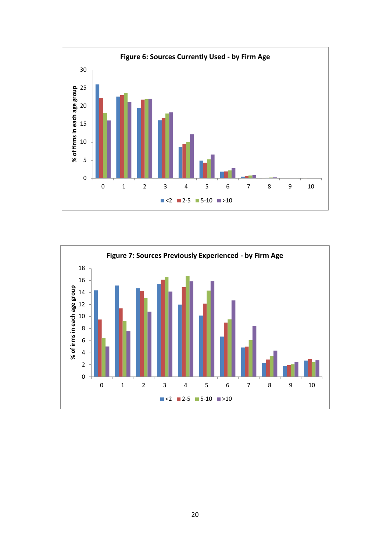

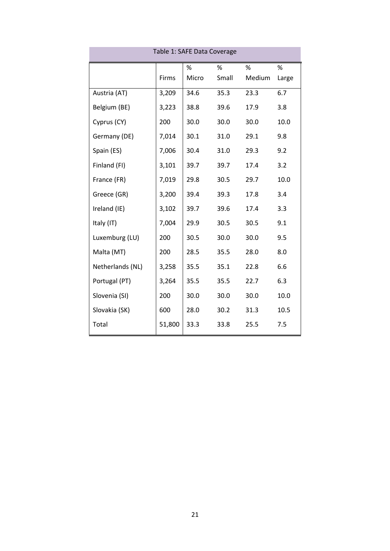|                  |        | Table 1: SAFE Data Coverage |       |        |       |
|------------------|--------|-----------------------------|-------|--------|-------|
|                  |        | %                           | %     | %      | $\%$  |
|                  | Firms  | Micro                       | Small | Medium | Large |
| Austria (AT)     | 3,209  | 34.6                        | 35.3  | 23.3   | 6.7   |
| Belgium (BE)     | 3,223  | 38.8                        | 39.6  | 17.9   | 3.8   |
| Cyprus (CY)      | 200    | 30.0                        | 30.0  | 30.0   | 10.0  |
| Germany (DE)     | 7,014  | 30.1                        | 31.0  | 29.1   | 9.8   |
| Spain (ES)       | 7,006  | 30.4                        | 31.0  | 29.3   | 9.2   |
| Finland (FI)     | 3,101  | 39.7                        | 39.7  | 17.4   | 3.2   |
| France (FR)      | 7,019  | 29.8                        | 30.5  | 29.7   | 10.0  |
| Greece (GR)      | 3,200  | 39.4                        | 39.3  | 17.8   | 3.4   |
| Ireland (IE)     | 3,102  | 39.7                        | 39.6  | 17.4   | 3.3   |
| Italy (IT)       | 7,004  | 29.9                        | 30.5  | 30.5   | 9.1   |
| Luxemburg (LU)   | 200    | 30.5                        | 30.0  | 30.0   | 9.5   |
| Malta (MT)       | 200    | 28.5                        | 35.5  | 28.0   | 8.0   |
| Netherlands (NL) | 3,258  | 35.5                        | 35.1  | 22.8   | 6.6   |
| Portugal (PT)    | 3,264  | 35.5                        | 35.5  | 22.7   | 6.3   |
| Slovenia (SI)    | 200    | 30.0                        | 30.0  | 30.0   | 10.0  |
| Slovakia (SK)    | 600    | 28.0                        | 30.2  | 31.3   | 10.5  |
| Total            | 51,800 | 33.3                        | 33.8  | 25.5   | 7.5   |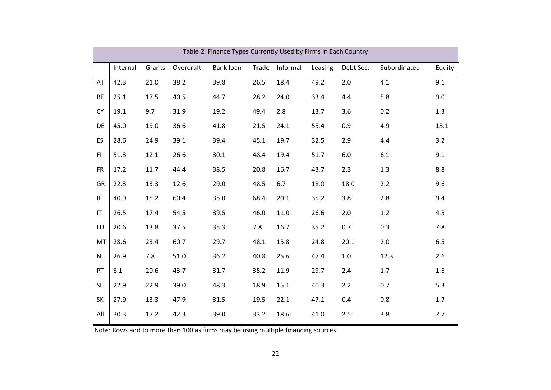|                        |          |        |           | Table 2: Finance Types Currently Used by Firms in Each Country |      |                |         |           |              |        |
|------------------------|----------|--------|-----------|----------------------------------------------------------------|------|----------------|---------|-----------|--------------|--------|
|                        | Internal | Grants | Overdraft | Bank loan                                                      |      | Trade Informal | Leasing | Debt Sec. | Subordinated | Equity |
| AT                     | 42.3     | 21.0   | 38.2      | 39.8                                                           | 26.5 | 18.4           | 49.2    | 2.0       | 4.1          | 9.1    |
| <b>BE</b>              | 25.1     | 17.5   | 40.5      | 44.7                                                           | 28.2 | 24.0           | 33.4    | 4.4       | 5.8          | 9.0    |
| <b>CY</b>              | 19.1     | 9.7    | 31.9      | 19.2                                                           | 49.4 | 2.8            | 13.7    | 3.6       | 0.2          | 1.3    |
| DE                     | 45.0     | 19.0   | 36.6      | 41.8                                                           | 21.5 | 24.1           | 55.4    | 0.9       | 4.9          | 13.1   |
| ES                     | 28.6     | 24.9   | 39.1      | 39.4                                                           | 45.1 | 19.7           | 32.5    | 2.9       | 4.4          | 3.2    |
| F1                     | 51.3     | 12.1   | 26.6      | 30.1                                                           | 48.4 | 19.4           | 51.7    | $6.0\,$   | 6.1          | 9.1    |
| <b>FR</b>              | 17.2     | 11.7   | 44.4      | 38.5                                                           | 20.8 | 16.7           | 43.7    | 2.3       | 1.3          | 8.8    |
| GR                     | 22.3     | 13.3   | 12.6      | 29.0                                                           | 48.5 | 6.7            | 18.0    | 18.0      | 2.2          | 9.6    |
| IE                     | 40.9     | 15.2   | 60.4      | 35.0                                                           | 68.4 | 20.1           | 35.2    | 3.8       | 2.8          | 9.4    |
| $\mathsf{I}\mathsf{T}$ | 26.5     | 17.4   | 54.5      | 39.5                                                           | 46.0 | 11.0           | 26.6    | 2.0       | 1.2          | 4.5    |
| LU                     | 20.6     | 13.8   | 37.5      | 35.3                                                           | 7.8  | 16.7           | 35.2    | 0.7       | 0.3          | 7.8    |
| MT                     | 28.6     | 23.4   | 60.7      | 29.7                                                           | 48.1 | 15.8           | 24.8    | 20.1      | 2.0          | 6.5    |
| NL                     | 26.9     | 7.8    | 51.0      | 36.2                                                           | 40.8 | 25.6           | 47.4    | $1.0\,$   | 12.3         | 2.6    |
| PT                     | 6.1      | 20.6   | 43.7      | 31.7                                                           | 35.2 | 11.9           | 29.7    | 2.4       | 1.7          | 1.6    |
| SI                     | 22.9     | 22.9   | 39.0      | 48.3                                                           | 18.9 | 15.1           | 40.3    | 2.2       | 0.7          | 5.3    |
| SK                     | 27.9     | 13.3   | 47.9      | 31.5                                                           | 19.5 | 22.1           | 47.1    | 0.4       | 0.8          | 1.7    |
| All                    | 30.3     | 17.2   | 42.3      | 39.0                                                           | 33.2 | 18.6           | 41.0    | 2.5       | 3.8          | 7.7    |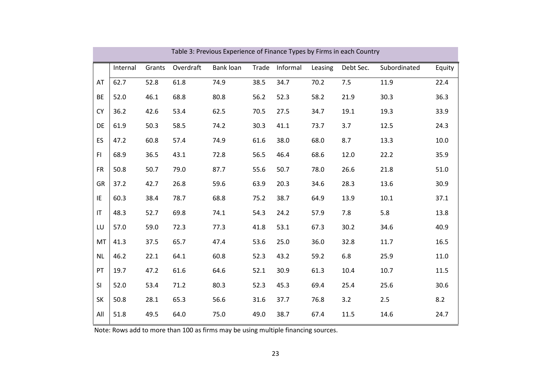|           |          |        |           | Table 3: Previous Experience of Finance Types by Firms in each Country |       |          |         |           |              |        |
|-----------|----------|--------|-----------|------------------------------------------------------------------------|-------|----------|---------|-----------|--------------|--------|
|           | Internal | Grants | Overdraft | Bank loan                                                              | Trade | Informal | Leasing | Debt Sec. | Subordinated | Equity |
| AT        | 62.7     | 52.8   | 61.8      | 74.9                                                                   | 38.5  | 34.7     | 70.2    | 7.5       | 11.9         | 22.4   |
| <b>BE</b> | 52.0     | 46.1   | 68.8      | 80.8                                                                   | 56.2  | 52.3     | 58.2    | 21.9      | 30.3         | 36.3   |
| <b>CY</b> | 36.2     | 42.6   | 53.4      | 62.5                                                                   | 70.5  | 27.5     | 34.7    | 19.1      | 19.3         | 33.9   |
| DE        | 61.9     | 50.3   | 58.5      | 74.2                                                                   | 30.3  | 41.1     | 73.7    | 3.7       | 12.5         | 24.3   |
| ES        | 47.2     | 60.8   | 57.4      | 74.9                                                                   | 61.6  | 38.0     | 68.0    | 8.7       | 13.3         | 10.0   |
| FI.       | 68.9     | 36.5   | 43.1      | 72.8                                                                   | 56.5  | 46.4     | 68.6    | 12.0      | 22.2         | 35.9   |
| <b>FR</b> | 50.8     | 50.7   | 79.0      | 87.7                                                                   | 55.6  | 50.7     | 78.0    | 26.6      | 21.8         | 51.0   |
| GR        | 37.2     | 42.7   | 26.8      | 59.6                                                                   | 63.9  | 20.3     | 34.6    | 28.3      | 13.6         | 30.9   |
| IE.       | 60.3     | 38.4   | 78.7      | 68.8                                                                   | 75.2  | 38.7     | 64.9    | 13.9      | 10.1         | 37.1   |
| IT        | 48.3     | 52.7   | 69.8      | 74.1                                                                   | 54.3  | 24.2     | 57.9    | 7.8       | 5.8          | 13.8   |
| LU        | 57.0     | 59.0   | 72.3      | 77.3                                                                   | 41.8  | 53.1     | 67.3    | 30.2      | 34.6         | 40.9   |
| MT        | 41.3     | 37.5   | 65.7      | 47.4                                                                   | 53.6  | 25.0     | 36.0    | 32.8      | 11.7         | 16.5   |
| <b>NL</b> | 46.2     | 22.1   | 64.1      | 60.8                                                                   | 52.3  | 43.2     | 59.2    | 6.8       | 25.9         | 11.0   |
| PT        | 19.7     | 47.2   | 61.6      | 64.6                                                                   | 52.1  | 30.9     | 61.3    | 10.4      | 10.7         | 11.5   |
| <b>SI</b> | 52.0     | 53.4   | 71.2      | 80.3                                                                   | 52.3  | 45.3     | 69.4    | 25.4      | 25.6         | 30.6   |
| SK        | 50.8     | 28.1   | 65.3      | 56.6                                                                   | 31.6  | 37.7     | 76.8    | 3.2       | 2.5          | 8.2    |
| All       | 51.8     | 49.5   | 64.0      | 75.0                                                                   | 49.0  | 38.7     | 67.4    | 11.5      | 14.6         | 24.7   |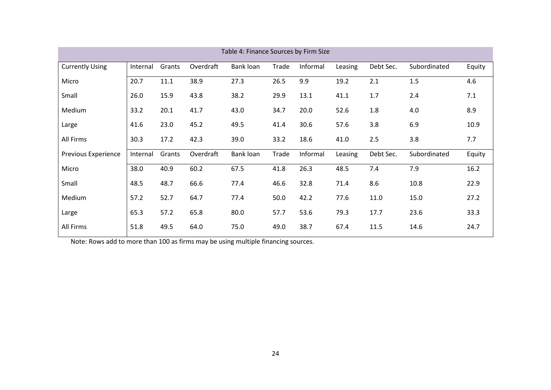|                        | Table 4: Finance Sources by Firm Size |        |           |           |       |          |         |           |              |        |
|------------------------|---------------------------------------|--------|-----------|-----------|-------|----------|---------|-----------|--------------|--------|
| <b>Currently Using</b> | Internal                              | Grants | Overdraft | Bank loan | Trade | Informal | Leasing | Debt Sec. | Subordinated | Equity |
| Micro                  | 20.7                                  | 11.1   | 38.9      | 27.3      | 26.5  | 9.9      | 19.2    | 2.1       | 1.5          | 4.6    |
| Small                  | 26.0                                  | 15.9   | 43.8      | 38.2      | 29.9  | 13.1     | 41.1    | 1.7       | 2.4          | 7.1    |
| Medium                 | 33.2                                  | 20.1   | 41.7      | 43.0      | 34.7  | 20.0     | 52.6    | 1.8       | 4.0          | 8.9    |
| Large                  | 41.6                                  | 23.0   | 45.2      | 49.5      | 41.4  | 30.6     | 57.6    | 3.8       | 6.9          | 10.9   |
| All Firms              | 30.3                                  | 17.2   | 42.3      | 39.0      | 33.2  | 18.6     | 41.0    | 2.5       | 3.8          | 7.7    |
| Previous Experience    | Internal                              | Grants | Overdraft | Bank loan | Trade | Informal | Leasing | Debt Sec. | Subordinated | Equity |
| Micro                  | 38.0                                  | 40.9   | 60.2      | 67.5      | 41.8  | 26.3     | 48.5    | 7.4       | 7.9          | 16.2   |
| Small                  | 48.5                                  | 48.7   | 66.6      | 77.4      | 46.6  | 32.8     | 71.4    | 8.6       | 10.8         | 22.9   |
| Medium                 | 57.2                                  | 52.7   | 64.7      | 77.4      | 50.0  | 42.2     | 77.6    | 11.0      | 15.0         | 27.2   |
| Large                  | 65.3                                  | 57.2   | 65.8      | 80.0      | 57.7  | 53.6     | 79.3    | 17.7      | 23.6         | 33.3   |
| All Firms              | 51.8                                  | 49.5   | 64.0      | 75.0      | 49.0  | 38.7     | 67.4    | 11.5      | 14.6         | 24.7   |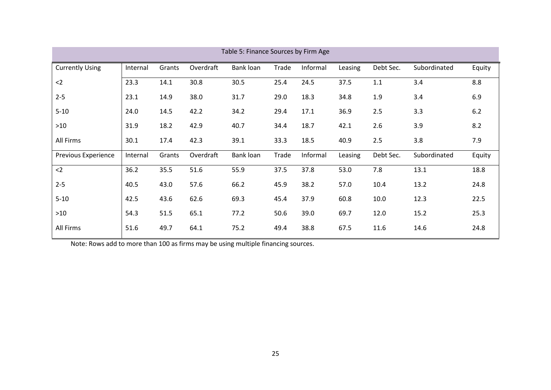|                        | Table 5: Finance Sources by Firm Age |        |           |                  |       |          |         |           |              |        |
|------------------------|--------------------------------------|--------|-----------|------------------|-------|----------|---------|-----------|--------------|--------|
| <b>Currently Using</b> | Internal                             | Grants | Overdraft | Bank loan        | Trade | Informal | Leasing | Debt Sec. | Subordinated | Equity |
| $2$                    | 23.3                                 | 14.1   | 30.8      | 30.5             | 25.4  | 24.5     | 37.5    | $1.1\,$   | 3.4          | 8.8    |
| $2 - 5$                | 23.1                                 | 14.9   | 38.0      | 31.7             | 29.0  | 18.3     | 34.8    | 1.9       | 3.4          | 6.9    |
| $5 - 10$               | 24.0                                 | 14.5   | 42.2      | 34.2             | 29.4  | 17.1     | 36.9    | 2.5       | 3.3          | 6.2    |
| $>10$                  | 31.9                                 | 18.2   | 42.9      | 40.7             | 34.4  | 18.7     | 42.1    | 2.6       | 3.9          | 8.2    |
| All Firms              | 30.1                                 | 17.4   | 42.3      | 39.1             | 33.3  | 18.5     | 40.9    | 2.5       | 3.8          | 7.9    |
| Previous Experience    | Internal                             | Grants | Overdraft | <b>Bank loan</b> | Trade | Informal | Leasing | Debt Sec. | Subordinated | Equity |
| $2$                    | 36.2                                 | 35.5   | 51.6      | 55.9             | 37.5  | 37.8     | 53.0    | 7.8       | 13.1         | 18.8   |
| $2 - 5$                | 40.5                                 | 43.0   | 57.6      | 66.2             | 45.9  | 38.2     | 57.0    | 10.4      | 13.2         | 24.8   |
| $5 - 10$               | 42.5                                 | 43.6   | 62.6      | 69.3             | 45.4  | 37.9     | 60.8    | 10.0      | 12.3         | 22.5   |
| $>10$                  | 54.3                                 | 51.5   | 65.1      | 77.2             | 50.6  | 39.0     | 69.7    | 12.0      | 15.2         | 25.3   |
| All Firms              | 51.6                                 | 49.7   | 64.1      | 75.2             | 49.4  | 38.8     | 67.5    | 11.6      | 14.6         | 24.8   |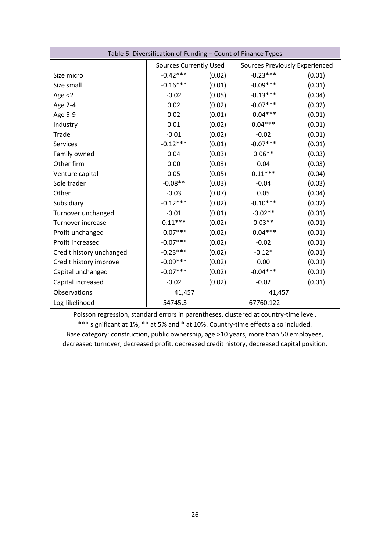| Table 6: Diversification of Funding - Count of Finance Types |                               |        |                                       |        |  |  |  |
|--------------------------------------------------------------|-------------------------------|--------|---------------------------------------|--------|--|--|--|
|                                                              | <b>Sources Currently Used</b> |        | <b>Sources Previously Experienced</b> |        |  |  |  |
| Size micro                                                   | $-0.42***$                    | (0.02) | $-0.23***$                            | (0.01) |  |  |  |
| Size small                                                   | $-0.16***$                    | (0.01) | $-0.09***$                            | (0.01) |  |  |  |
| Age $<$ 2                                                    | $-0.02$                       | (0.05) | $-0.13***$                            | (0.04) |  |  |  |
| Age 2-4                                                      | 0.02                          | (0.02) | $-0.07***$                            | (0.02) |  |  |  |
| Age 5-9                                                      | 0.02                          | (0.01) | $-0.04***$                            | (0.01) |  |  |  |
| Industry                                                     | 0.01                          | (0.02) | $0.04***$                             | (0.01) |  |  |  |
| Trade                                                        | $-0.01$                       | (0.02) | $-0.02$                               | (0.01) |  |  |  |
| <b>Services</b>                                              | $-0.12***$                    | (0.01) | $-0.07***$                            | (0.01) |  |  |  |
| Family owned                                                 | 0.04                          | (0.03) | $0.06**$                              | (0.03) |  |  |  |
| Other firm                                                   | 0.00                          | (0.03) | 0.04                                  | (0.03) |  |  |  |
| Venture capital                                              | 0.05                          | (0.05) | $0.11***$                             | (0.04) |  |  |  |
| Sole trader                                                  | $-0.08**$                     | (0.03) | $-0.04$                               | (0.03) |  |  |  |
| Other                                                        | $-0.03$                       | (0.07) | 0.05                                  | (0.04) |  |  |  |
| Subsidiary                                                   | $-0.12***$                    | (0.02) | $-0.10***$                            | (0.02) |  |  |  |
| Turnover unchanged                                           | $-0.01$                       | (0.01) | $-0.02**$                             | (0.01) |  |  |  |
| Turnover increase                                            | $0.11***$                     | (0.02) | $0.03**$                              | (0.01) |  |  |  |
| Profit unchanged                                             | $-0.07***$                    | (0.02) | $-0.04***$                            | (0.01) |  |  |  |
| Profit increased                                             | $-0.07***$                    | (0.02) | $-0.02$                               | (0.01) |  |  |  |
| Credit history unchanged                                     | $-0.23***$                    | (0.02) | $-0.12*$                              | (0.01) |  |  |  |
| Credit history improve                                       | $-0.09***$                    | (0.02) | 0.00                                  | (0.01) |  |  |  |
| Capital unchanged                                            | $-0.07***$                    | (0.02) | $-0.04***$                            | (0.01) |  |  |  |
| Capital increased                                            | $-0.02$                       | (0.02) | $-0.02$                               | (0.01) |  |  |  |
| Observations                                                 | 41,457                        |        | 41,457                                |        |  |  |  |
| Log-likelihood                                               | $-54745.3$                    |        | $-67760.122$                          |        |  |  |  |

Poisson regression, standard errors in parentheses, clustered at country-time level.

\*\*\* significant at 1%, \*\* at 5% and \* at 10%. Country-time effects also included. Base category: construction, public ownership, age >10 years, more than 50 employees, decreased turnover, decreased profit, decreased credit history, decreased capital position.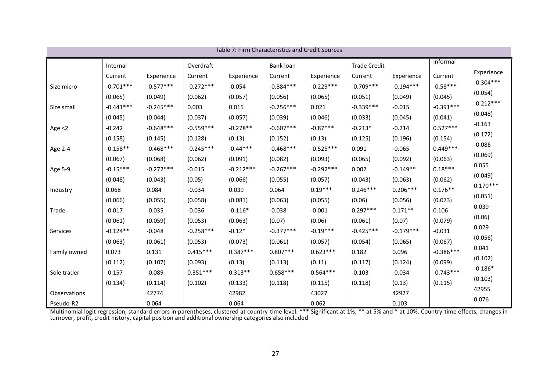|              | Table 7: Firm Characteristics and Credit Sources |             |             |             |             |             |                     |             |             |             |
|--------------|--------------------------------------------------|-------------|-------------|-------------|-------------|-------------|---------------------|-------------|-------------|-------------|
|              | Internal                                         |             | Overdraft   |             | Bank loan   |             | <b>Trade Credit</b> |             | Informal    |             |
|              | Current                                          | Experience  | Current     | Experience  | Current     | Experience  | Current             | Experience  | Current     | Experience  |
| Size micro   | $-0.701***$                                      | $-0.577***$ | $-0.272***$ | $-0.054$    | $-0.884***$ | $-0.229***$ | $-0.709***$         | $-0.194***$ | $-0.58***$  | $-0.304***$ |
|              | (0.065)                                          | (0.049)     | (0.062)     | (0.057)     | (0.056)     | (0.065)     | (0.051)             | (0.049)     | (0.045)     | (0.054)     |
| Size small   | $-0.441***$                                      | $-0.245***$ | 0.003       | 0.015       | $-0.256***$ | 0.021       | $-0.339***$         | $-0.015$    | $-0.391***$ | $-0.212***$ |
|              | (0.045)                                          | (0.044)     | (0.037)     | (0.057)     | (0.039)     | (0.046)     | (0.033)             | (0.045)     | (0.041)     | (0.048)     |
| Age $<$ 2    | $-0.242$                                         | $-0.648***$ | $-0.559***$ | $-0.278**$  | $-0.607***$ | $-0.87***$  | $-0.213*$           | $-0.214$    | $0.527***$  | $-0.163$    |
|              | (0.158)                                          | (0.145)     | (0.128)     | (0.13)      | (0.152)     | (0.13)      | (0.125)             | (0.196)     | (0.154)     | (0.172)     |
| Age 2-4      | $-0.158**$                                       | $-0.468***$ | $-0.245***$ | $-0.44***$  | $-0.468***$ | $-0.525***$ | 0.091               | $-0.065$    | $0.449***$  | $-0.086$    |
|              | (0.067)                                          | (0.068)     | (0.062)     | (0.091)     | (0.082)     | (0.093)     | (0.065)             | (0.092)     | (0.063)     | (0.069)     |
| Age 5-9      | $-0.15***$                                       | $-0.272***$ | $-0.015$    | $-0.212***$ | $-0.267***$ | $-0.292***$ | 0.002               | $-0.149**$  | $0.18***$   | 0.055       |
|              | (0.048)                                          | (0.043)     | (0.05)      | (0.066)     | (0.055)     | (0.057)     | (0.043)             | (0.063)     | (0.062)     | (0.049)     |
| Industry     | 0.068                                            | 0.084       | $-0.034$    | 0.039       | 0.064       | $0.19***$   | $0.246***$          | $0.206***$  | $0.176**$   | $0.179***$  |
|              | (0.066)                                          | (0.055)     | (0.058)     | (0.081)     | (0.063)     | (0.055)     | (0.06)              | (0.056)     | (0.073)     | (0.051)     |
| Trade        | $-0.017$                                         | $-0.035$    | $-0.036$    | $-0.116*$   | $-0.038$    | $-0.001$    | $0.297***$          | $0.171**$   | 0.106       | 0.039       |
|              | (0.061)                                          | (0.059)     | (0.053)     | (0.063)     | (0.07)      | (0.06)      | (0.061)             | (0.07)      | (0.079)     | (0.06)      |
| Services     | $-0.124**$                                       | $-0.048$    | $-0.258***$ | $-0.12*$    | $-0.377***$ | $-0.19***$  | $-0.425***$         | $-0.179***$ | $-0.031$    | 0.029       |
|              | (0.063)                                          | (0.061)     | (0.053)     | (0.073)     | (0.061)     | (0.057)     | (0.054)             | (0.065)     | (0.067)     | (0.056)     |
| Family owned | 0.073                                            | 0.131       | $0.415***$  | $0.387***$  | $0.807***$  | $0.623***$  | 0.182               | 0.096       | $-0.386***$ | 0.041       |
|              | (0.112)                                          | (0.107)     | (0.093)     | (0.13)      | (0.113)     | (0.11)      | (0.117)             | (0.124)     | (0.099)     | (0.102)     |
| Sole trader  | $-0.157$                                         | $-0.089$    | $0.351***$  | $0.313**$   | $0.658***$  | $0.564***$  | $-0.103$            | $-0.034$    | $-0.743***$ | $-0.186*$   |
|              | (0.134)                                          | (0.114)     | (0.102)     | (0.133)     | (0.118)     | (0.115)     | (0.118)             | (0.13)      | (0.115)     | (0.103)     |
| Observations |                                                  | 42774       |             | 42982       |             | 43027       |                     | 42927       |             | 42955       |
| Pseudo-R2    |                                                  | 0.064       |             | 0.064       |             | 0.062       |                     | 0.103       |             | 0.076       |

Multinomial logit regression, standard errors in parentheses, clustered at country-time level. \*\*\* Significant at 1%, \*\* at 5% and \* at 10%. Country-time effects, changes in turnover, profit, credit history, capital position and additional ownership categories also included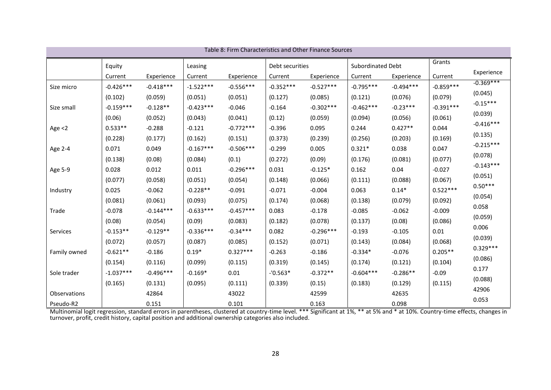|              | Table 8: Firm Characteristics and Other Finance Sources |             |             |             |                 |             |                   |             |             |             |
|--------------|---------------------------------------------------------|-------------|-------------|-------------|-----------------|-------------|-------------------|-------------|-------------|-------------|
|              | Equity                                                  |             | Leasing     |             | Debt securities |             | Subordinated Debt |             | Grants      |             |
|              | Current                                                 | Experience  | Current     | Experience  | Current         | Experience  | Current           | Experience  | Current     | Experience  |
| Size micro   | $-0.426***$                                             | $-0.418***$ | $-1.522***$ | $-0.556***$ | $-0.352***$     | $-0.527***$ | $-0.795***$       | $-0.494***$ | $-0.859***$ | $-0.369***$ |
|              | (0.102)                                                 | (0.059)     | (0.051)     | (0.051)     | (0.127)         | (0.085)     | (0.121)           | (0.076)     | (0.079)     | (0.045)     |
| Size small   | $-0.159***$                                             | $-0.128**$  | $-0.423***$ | $-0.046$    | $-0.164$        | $-0.302***$ | $-0.462***$       | $-0.23***$  | $-0.391***$ | $-0.15***$  |
|              | (0.06)                                                  | (0.052)     | (0.043)     | (0.041)     | (0.12)          | (0.059)     | (0.094)           | (0.056)     | (0.061)     | (0.039)     |
| Age $<$ 2    | $0.533**$                                               | $-0.288$    | $-0.121$    | $-0.772***$ | $-0.396$        | 0.095       | 0.244             | $0.427**$   | 0.044       | $-0.416***$ |
|              | (0.228)                                                 | (0.177)     | (0.162)     | (0.151)     | (0.373)         | (0.239)     | (0.256)           | (0.203)     | (0.169)     | (0.135)     |
| Age 2-4      | 0.071                                                   | 0.049       | $-0.167***$ | $-0.506***$ | $-0.299$        | 0.005       | $0.321*$          | 0.038       | 0.047       | $-0.215***$ |
|              | (0.138)                                                 | (0.08)      | (0.084)     | (0.1)       | (0.272)         | (0.09)      | (0.176)           | (0.081)     | (0.077)     | (0.078)     |
| Age 5-9      | 0.028                                                   | 0.012       | 0.011       | $-0.296***$ | 0.031           | $-0.125*$   | 0.162             | 0.04        | $-0.027$    | $-0.143***$ |
|              | (0.077)                                                 | (0.058)     | (0.051)     | (0.054)     | (0.148)         | (0.066)     | (0.111)           | (0.088)     | (0.067)     | (0.051)     |
| Industry     | 0.025                                                   | $-0.062$    | $-0.228**$  | $-0.091$    | $-0.071$        | $-0.004$    | 0.063             | $0.14*$     | $0.522***$  | $0.50***$   |
|              | (0.081)                                                 | (0.061)     | (0.093)     | (0.075)     | (0.174)         | (0.068)     | (0.138)           | (0.079)     | (0.092)     | (0.054)     |
| Trade        | $-0.078$                                                | $-0.144***$ | $-0.633***$ | $-0.457***$ | 0.083           | $-0.178$    | $-0.085$          | $-0.062$    | $-0.009$    | 0.058       |
|              | (0.08)                                                  | (0.054)     | (0.09)      | (0.083)     | (0.182)         | (0.078)     | (0.137)           | (0.08)      | (0.086)     | (0.059)     |
| Services     | $-0.153**$                                              | $-0.129**$  | $-0.336***$ | $-0.34***$  | 0.082           | $-0.296***$ | $-0.193$          | $-0.105$    | 0.01        | 0.006       |
|              | (0.072)                                                 | (0.057)     | (0.087)     | (0.085)     | (0.152)         | (0.071)     | (0.143)           | (0.084)     | (0.068)     | (0.039)     |
| Family owned | $-0.621**$                                              | $-0.186$    | $0.19*$     | $0.327***$  | $-0.263$        | $-0.186$    | $-0.334*$         | $-0.076$    | $0.205**$   | $0.329***$  |
|              | (0.154)                                                 | (0.116)     | (0.099)     | (0.115)     | (0.319)         | (0.145)     | (0.174)           | (0.121)     | (0.104)     | (0.086)     |
| Sole trader  | $-1.037***$                                             | $-0.496***$ | $-0.169*$   | 0.01        | $-0.563*$       | $-0.372**$  | $-0.604***$       | $-0.286**$  | $-0.09$     | 0.177       |
|              | (0.165)                                                 | (0.131)     | (0.095)     | (0.111)     | (0.339)         | (0.15)      | (0.183)           | (0.129)     | (0.115)     | (0.088)     |
| Observations |                                                         | 42864       |             | 43022       |                 | 42599       |                   | 42635       |             | 42906       |
| Pseudo-R2    |                                                         | 0.151       |             | 0.101       |                 | 0.163       |                   | 0.098       |             | 0.053       |

Multinomial logit regression, standard errors in parentheses, clustered at country-time level. \*\*\* Significant at 1%, \*\* at 5% and \* at 10%. Country-time effects, changes in turnover, profit, credit history, capital position and additional ownership categories also included.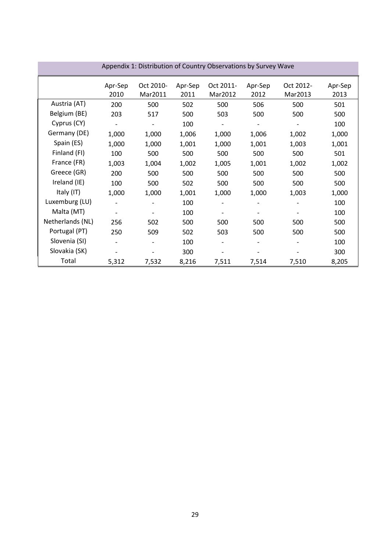|                  | Appendix 1: Distribution of Country Observations by Survey Wave |                      |                 |                      |                          |                      |                 |  |
|------------------|-----------------------------------------------------------------|----------------------|-----------------|----------------------|--------------------------|----------------------|-----------------|--|
|                  | Apr-Sep<br>2010                                                 | Oct 2010-<br>Mar2011 | Apr-Sep<br>2011 | Oct 2011-<br>Mar2012 | Apr-Sep<br>2012          | Oct 2012-<br>Mar2013 | Apr-Sep<br>2013 |  |
| Austria (AT)     | 200                                                             | 500                  | 502             | 500                  | 506                      | 500                  | 501             |  |
| Belgium (BE)     | 203                                                             | 517                  | 500             | 503                  | 500                      | 500                  | 500             |  |
| Cyprus (CY)      | $\overline{\phantom{a}}$                                        |                      | 100             |                      | $\overline{\phantom{a}}$ |                      | 100             |  |
| Germany (DE)     | 1,000                                                           | 1,000                | 1,006           | 1,000                | 1,006                    | 1,002                | 1,000           |  |
| Spain (ES)       | 1,000                                                           | 1,000                | 1,001           | 1,000                | 1,001                    | 1,003                | 1,001           |  |
| Finland (FI)     | 100                                                             | 500                  | 500             | 500                  | 500                      | 500                  | 501             |  |
| France (FR)      | 1,003                                                           | 1,004                | 1,002           | 1,005                | 1,001                    | 1,002                | 1,002           |  |
| Greece (GR)      | 200                                                             | 500                  | 500             | 500                  | 500                      | 500                  | 500             |  |
| Ireland (IE)     | 100                                                             | 500                  | 502             | 500                  | 500                      | 500                  | 500             |  |
| Italy (IT)       | 1,000                                                           | 1,000                | 1,001           | 1,000                | 1,000                    | 1,003                | 1,000           |  |
| Luxemburg (LU)   |                                                                 |                      | 100             |                      |                          |                      | 100             |  |
| Malta (MT)       | $\overline{\phantom{a}}$                                        |                      | 100             |                      |                          |                      | 100             |  |
| Netherlands (NL) | 256                                                             | 502                  | 500             | 500                  | 500                      | 500                  | 500             |  |
| Portugal (PT)    | 250                                                             | 509                  | 502             | 503                  | 500                      | 500                  | 500             |  |
| Slovenia (SI)    |                                                                 |                      | 100             |                      |                          |                      | 100             |  |
| Slovakia (SK)    |                                                                 |                      | 300             |                      |                          |                      | 300             |  |
| Total            | 5,312                                                           | 7,532                | 8,216           | 7,511                | 7,514                    | 7,510                | 8,205           |  |